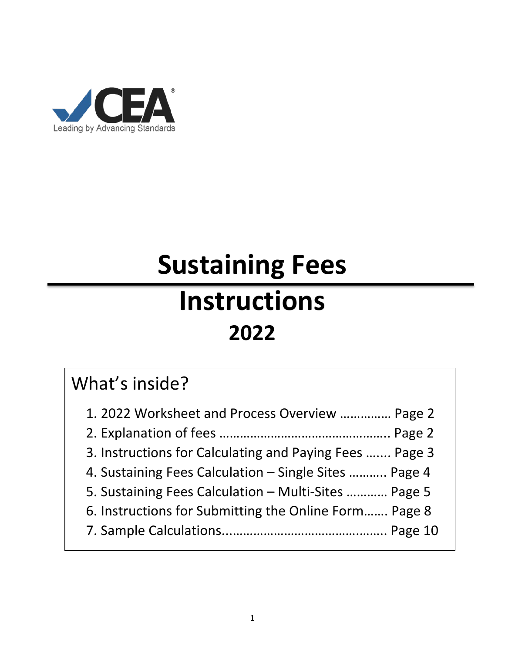

# **Sustaining Fees Instructions 2022**

# What's inside?

| 1. 2022 Worksheet and Process Overview  Page 2          |
|---------------------------------------------------------|
|                                                         |
| 3. Instructions for Calculating and Paying Fees  Page 3 |
| 4. Sustaining Fees Calculation - Single Sites  Page 4   |
| 5. Sustaining Fees Calculation - Multi-Sites  Page 5    |
| 6. Instructions for Submitting the Online Form Page 8   |
|                                                         |
|                                                         |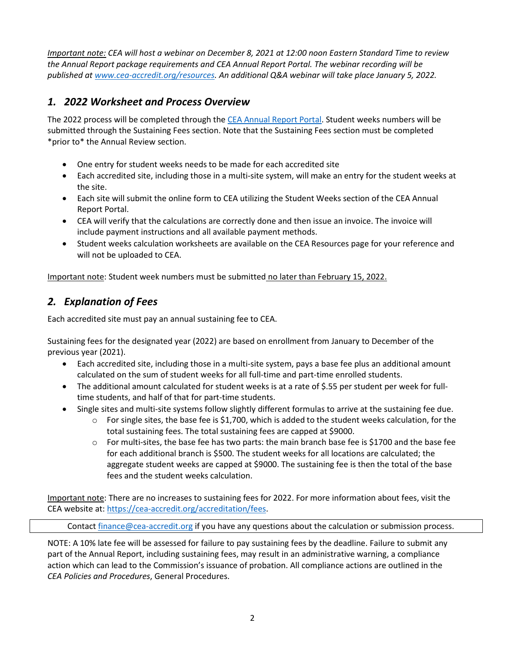*Important note: CEA will host a webinar on December 8, 2021 at 12:00 noon Eastern Standard Time to review the Annual Report package requirements and CEA Annual Report Portal. The webinar recording will be published at [www.cea-accredit.org/resources.](http://www.cea-accredit.org/resources) An additional Q&A webinar will take place January 5, 2022.*

#### *1. 2022 Worksheet and Process Overview*

The 2022 process will be completed through the [CEA Annual Report Portal.](https://carp.cea-accredit.org/) Student weeks numbers will be submitted through the Sustaining Fees section. Note that the Sustaining Fees section must be completed \*prior to\* the Annual Review section.

- One entry for student weeks needs to be made for each accredited site
- Each accredited site, including those in a multi-site system, will make an entry for the student weeks at the site.
- Each site will submit the online form to CEA utilizing the [Student](https://fdm.wufoo.com/forms/cea-sustaining-fees-invoice-generator/) Weeks section of the CEA Annual Report Portal.
- CEA will verify that the calculations are correctly done and then issue an invoice. The invoice will include payment instructions and all available payment methods.
- Student weeks calculation worksheets are available on the CEA Resources page for your reference and will not be uploaded to CEA.

Important note: Student week numbers must be submitted no later than February 15, 2022.

#### *2. Explanation of Fees*

Each accredited site must pay an annual sustaining fee to CEA.

Sustaining fees for the designated year (2022) are based on enrollment from January to December of the previous year (2021).

- Each accredited site, including those in a multi-site system, pays a base fee plus an additional amount calculated on the sum of student weeks for all full-time and part-time enrolled students.
- The additional amount calculated for student weeks is at a rate of \$.55 per student per week for fulltime students, and half of that for part-time students.
- Single sites and multi-site systems follow slightly different formulas to arrive at the sustaining fee due.
	- $\circ$  For single sites, the base fee is \$1,700, which is added to the student weeks calculation, for the total sustaining fees. The total sustaining fees are capped at \$9000.
	- $\circ$  For multi-sites, the base fee has two parts: the main branch base fee is \$1700 and the base fee for each additional branch is \$500. The student weeks for all locations are calculated; the aggregate student weeks are capped at \$9000. The sustaining fee is then the total of the base fees and the student weeks calculation.

Important note: There are no increases to sustaining fees for 2022. For more information about fees, visit the CEA website at[: https://cea-accredit.org/accreditation/fees.](https://cea-accredit.org/accreditation/fees)

Contact **finance@cea-accredit.org** if you have any questions about the calculation or submission process.

NOTE: A 10% late fee will be assessed for failure to pay sustaining fees by the deadline. Failure to submit any part of the Annual Report, including sustaining fees, may result in an administrative warning, a compliance action which can lead to the Commission's issuance of probation. All compliance actions are outlined in the *CEA Policies and Procedures*, General Procedures.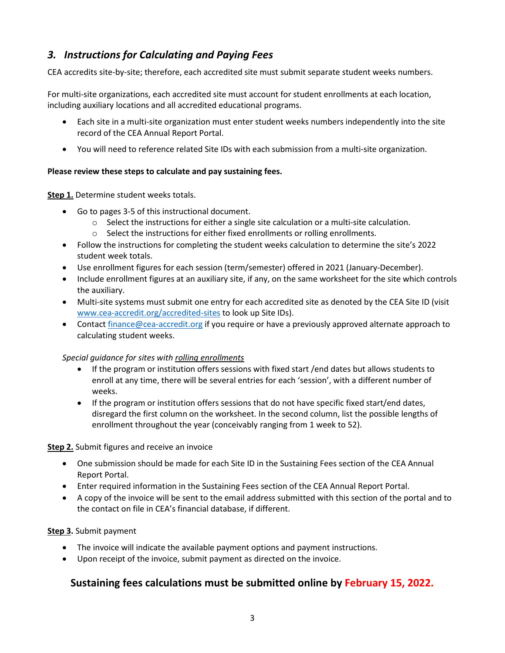#### *3. Instructions for Calculating and Paying Fees*

CEA accredits site-by-site; therefore, each accredited site must submit separate student weeks numbers.

For multi-site organizations, each accredited site must account for student enrollments at each location, including auxiliary locations and all accredited educational programs.

- Each site in a multi-site organization must enter student weeks numbers independently into the site record of the CEA Annual Report Portal.
- You will need to reference related Site IDs with each submission from a multi-site organization.

#### **Please review these steps to calculate and pay sustaining fees.**

#### **Step 1.** Determine student weeks totals.

- Go to pages 3-5 of this instructional document.
	- $\circ$  Select the instructions for either a single site calculation or a multi-site calculation.
	- o Select the instructions for either fixed enrollments or rolling enrollments.
- Follow the instructions for completing the student weeks calculation to determine the site's 2022 student week totals.
- Use enrollment figures for each session (term/semester) offered in 2021 (January-December).
- Include enrollment figures at an auxiliary site, if any, on the same worksheet for the site which controls the auxiliary.
- Multi-site systems must submit one entry for each accredited site as denoted by the CEA Site ID (visit [www.cea-accredit.org/accredited-sites](http://www.cea-accredit.org/accredited-sites) to look up Site IDs).
- Contact [finance@cea-accredit.org](mailto:finance@cea-accredit.org) if you require or have a previously approved alternate approach to calculating student weeks.

#### *Special guidance for sites with rolling enrollments*

- If the program or institution offers sessions with fixed start /end dates but allows students to enroll at any time, there will be several entries for each 'session', with a different number of weeks.
- If the program or institution offers sessions that do not have specific fixed start/end dates, disregard the first column on the worksheet. In the second column, list the possible lengths of enrollment throughout the year (conceivably ranging from 1 week to 52).

#### **Step 2.** Submit figures and receive an invoice

- One submission should be made for each Site ID in the Sustaining Fees section of the CEA Annual Report Portal.
- Enter required information in the Sustaining Fees section of the CEA Annual Report Portal.
- A copy of the invoice will be sent to the email address submitted with this section of the portal and to the contact on file in CEA's financial database, if different.

#### **Step 3.** Submit payment

- The invoice will indicate the available payment options and payment instructions.
- Upon receipt of the invoice, submit payment as directed on the invoice.

#### **Sustaining fees calculations must be submitted online by February 15, 2022.**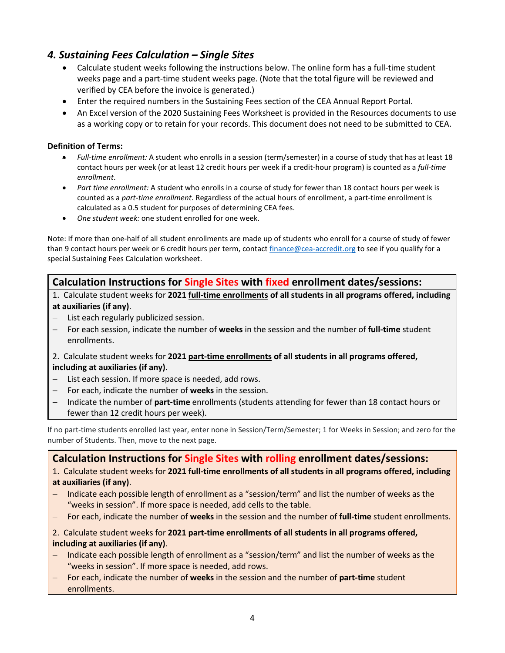#### *4. Sustaining Fees Calculation – Single Sites*

- Calculate student weeks following the instructions below. The online form has a full-time student weeks page and a part-time student weeks page. (Note that the total figure will be reviewed and verified by CEA before the invoice is generated.)
- Enter the required numbers in the Sustaining Fees section of the CEA Annual Report Portal.
- An Excel version of the 2020 Sustaining Fees Worksheet is provided in the Resources documents to use as a working copy or to retain for your records. This document does not need to be submitted to CEA.

#### **Definition of Terms:**

- *Full-time enrollment:* A student who enrolls in a session (term/semester) in a course of study that has at least 18 contact hours per week (or at least 12 credit hours per week if a credit-hour program) is counted as a *full-time enrollment*.
- *Part time enrollment:* A student who enrolls in a course of study for fewer than 18 contact hours per week is counted as a *part-time enrollment*. Regardless of the actual hours of enrollment, a part-time enrollment is calculated as a 0.5 student for purposes of determining CEA fees.
- *One student week:* one student enrolled for one week.

Note: If more than one-half of all student enrollments are made up of students who enroll for a course of study of fewer than 9 contact hours per week or 6 credit hours per term, contact [finance@cea-accredit.org](mailto:finance@cea-accredit.org) to see if you qualify for a special Sustaining Fees Calculation worksheet.

#### **Calculation Instructions for Single Sites with fixed enrollment dates/sessions:**

1. Calculate student weeks for **2021 full-time enrollments of all students in all programs offered, including at auxiliaries (if any)**.

- − List each regularly publicized session.
- − For each session, indicate the number of **weeks** in the session and the number of **full-time** student enrollments.
- 2. Calculate student weeks for **2021 part-time enrollments of all students in all programs offered,**

#### **including at auxiliaries (if any)**.

- − List each session. If more space is needed, add rows.
- − For each, indicate the number of **weeks** in the session.
- − Indicate the number of **part-time** enrollments (students attending for fewer than 18 contact hours or fewer than 12 credit hours per week).

If no part-time students enrolled last year, enter none in Session/Term/Semester; 1 for Weeks in Session; and zero for the number of Students. Then, move to the next page.

#### **Calculation Instructions for Single Sites with rolling enrollment dates/sessions:**

1. Calculate student weeks for **2021 full-time enrollments of all students in all programs offered, including at auxiliaries (if any)**.

- − Indicate each possible length of enrollment as a "session/term" and list the number of weeks as the "weeks in session". If more space is needed, add cells to the table.
- − For each, indicate the number of **weeks** in the session and the number of **full-time** student enrollments.

#### 2. Calculate student weeks for **2021 part-time enrollments of all students in all programs offered, including at auxiliaries (if any)**.

- − Indicate each possible length of enrollment as a "session/term" and list the number of weeks as the "weeks in session". If more space is needed, add rows.
- − For each, indicate the number of **weeks** in the session and the number of **part-time** student enrollments.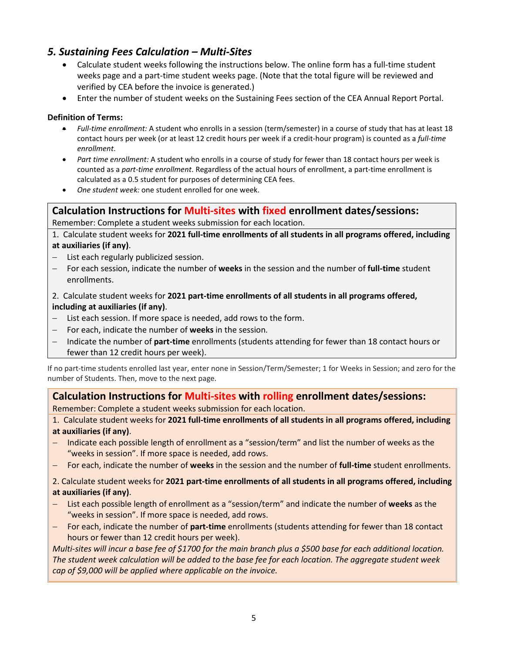#### *5. Sustaining Fees Calculation – Multi-Sites*

- Calculate student weeks following the instructions below. The online form has a full-time student weeks page and a part-time student weeks page. (Note that the total figure will be reviewed and verified by CEA before the invoice is generated.)
- Enter the number of student weeks on the Sustaining Fees section of the CEA Annual Report Portal.

#### **Definition of Terms:**

- *Full-time enrollment:* A student who enrolls in a session (term/semester) in a course of study that has at least 18 contact hours per week (or at least 12 credit hours per week if a credit-hour program) is counted as a *full-time enrollment*.
- *Part time enrollment:* A student who enrolls in a course of study for fewer than 18 contact hours per week is counted as a *part-time enrollment*. Regardless of the actual hours of enrollment, a part-time enrollment is calculated as a 0.5 student for purposes of determining CEA fees.
- *One student week:* one student enrolled for one week.

#### **Calculation Instructions for Multi-sites with fixed enrollment dates/sessions:**

Remember: Complete a student weeks submission for each location.

1. Calculate student weeks for **2021 full-time enrollments of all students in all programs offered, including at auxiliaries (if any)**.

- − List each regularly publicized session.
- − For each session, indicate the number of **weeks** in the session and the number of **full-time** student enrollments.
- 2. Calculate student weeks for **2021 part-time enrollments of all students in all programs offered, including at auxiliaries (if any)**.
- − List each session. If more space is needed, add rows to the form.
- − For each, indicate the number of **weeks** in the session.
- − Indicate the number of **part-time** enrollments (students attending for fewer than 18 contact hours or fewer than 12 credit hours per week).

If no part-time students enrolled last year, enter none in Session/Term/Semester; 1 for Weeks in Session; and zero for the number of Students. Then, move to the next page.

## **Calculation Instructions for Multi-sites with rolling enrollment dates/sessions:**

Remember: Complete a student weeks submission for each location.

1. Calculate student weeks for **2021 full-time enrollments of all students in all programs offered, including at auxiliaries (if any)**.

- Indicate each possible length of enrollment as a "session/term" and list the number of weeks as the "weeks in session". If more space is needed, add rows.
- − For each, indicate the number of **weeks** in the session and the number of **full-time** student enrollments.

#### 2. Calculate student weeks for **2021 part-time enrollments of all students in all programs offered, including at auxiliaries (if any)**.

- − List each possible length of enrollment as a "session/term" and indicate the number of **weeks** as the "weeks in session". If more space is needed, add rows.
- − For each, indicate the number of **part-time** enrollments (students attending for fewer than 18 contact hours or fewer than 12 credit hours per week).

*Multi-sites will incur a base fee of \$1700 for the main branch plus a \$500 base for each additional location. The student week calculation will be added to the base fee for each location. The aggregate student week cap of \$9,000 will be applied where applicable on the invoice.*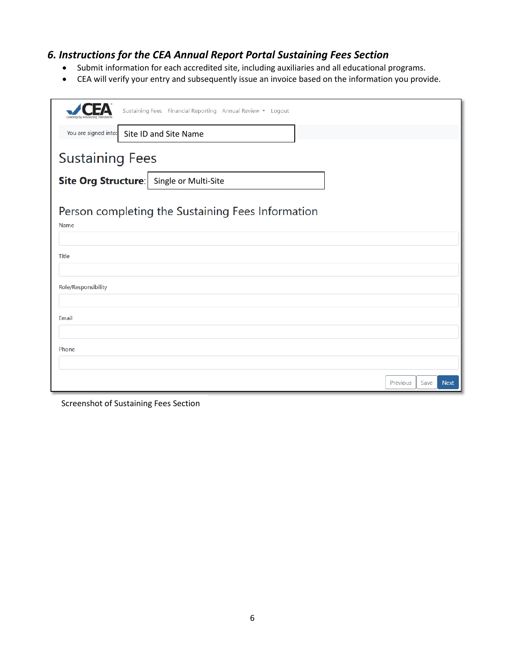#### *6. Instructions for the CEA Annual Report Portal Sustaining Fees Section*

- Submit information for each accredited site, including auxiliaries and all educational programs.
- CEA will verify your entry and subsequently issue an invoice based on the information you provide.

| Sustaining Fees Financial Reporting Annual Review • Logout |          |      |             |  |  |  |
|------------------------------------------------------------|----------|------|-------------|--|--|--|
| You are signed into:<br>Site ID and Site Name              |          |      |             |  |  |  |
| <b>Sustaining Fees</b>                                     |          |      |             |  |  |  |
| Site Org Structure: Single or Multi-Site                   |          |      |             |  |  |  |
| Person completing the Sustaining Fees Information          |          |      |             |  |  |  |
| Name                                                       |          |      |             |  |  |  |
| Title                                                      |          |      |             |  |  |  |
| Role/Responsibility                                        |          |      |             |  |  |  |
| Email                                                      |          |      |             |  |  |  |
| Phone                                                      |          |      |             |  |  |  |
|                                                            | Previous | Save | <b>Next</b> |  |  |  |

Screenshot of Sustaining Fees Section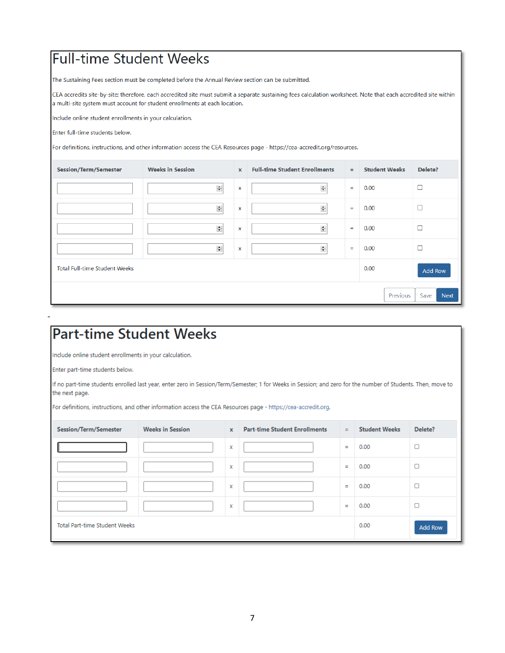# **Full-time Student Weeks**

The Sustaining Fees section must be completed before the Annual Review section can be submitted.

CEA accredits site-by-site; therefore, each accredited site must submit a separate sustaining fees calculation worksheet. Note that each accredited site within a multi-site system must account for student enrollments at each location.

Include online student enrollments in your calculation.

Enter full-time students below.

For definitions, instructions, and other information access the CEA Resources page - https://cea-accredit.org/resources.

| <b>Session/Term/Semester</b>         | <b>Weeks in Session</b> | $\mathbf{x}$ | <b>Full-time Student Enrollments</b> | $=$      | <b>Student Weeks</b> | Delete?             |
|--------------------------------------|-------------------------|--------------|--------------------------------------|----------|----------------------|---------------------|
|                                      | $\div$                  | $\mathbf x$  | $\frac{1}{\sqrt{2}}$                 | $\equiv$ | 0.00                 | $\Box$              |
|                                      | $\div$                  | $\mathbf x$  | $\div$                               | $\equiv$ | 0.00                 | □                   |
|                                      | $\div$                  | $\mathbf x$  | $\frac{\bullet}{\bullet}$            | $\equiv$ | 0.00                 | $\Box$              |
|                                      | $\div$                  | X            | $\div$                               | $\equiv$ | 0.00                 | □                   |
| <b>Total Full-time Student Weeks</b> |                         |              |                                      |          | 0.00                 | Add Row             |
|                                      |                         |              |                                      |          | Previous             | <b>Next</b><br>Save |

# **Part-time Student Weeks**

Include online student enrollments in your calculation.

Enter part-time students below.

-

If no part-time students enrolled last year, enter zero in Session/Term/Semester; 1 for Weeks in Session; and zero for the number of Students. Then, move to the next page.

For definitions, instructions, and other information access the CEA Resources page - https://cea-accredit.org.

| <b>Session/Term/Semester</b>  | <b>Weeks in Session</b> | $\mathbf{x}$              | <b>Part-time Student Enrollments</b> | $=$      | <b>Student Weeks</b> | Delete?        |
|-------------------------------|-------------------------|---------------------------|--------------------------------------|----------|----------------------|----------------|
|                               |                         | $\boldsymbol{\mathsf{x}}$ |                                      | $=$      | 0.00                 | $\Box$         |
|                               |                         | X                         |                                      | $=$      | 0.00                 | О              |
|                               |                         | x                         |                                      | $=$      | 0.00                 | $\Box$         |
|                               |                         | x                         |                                      | $\equiv$ | 0.00                 | $\Box$         |
| Total Part-time Student Weeks |                         |                           |                                      |          | 0.00                 | <b>Add Row</b> |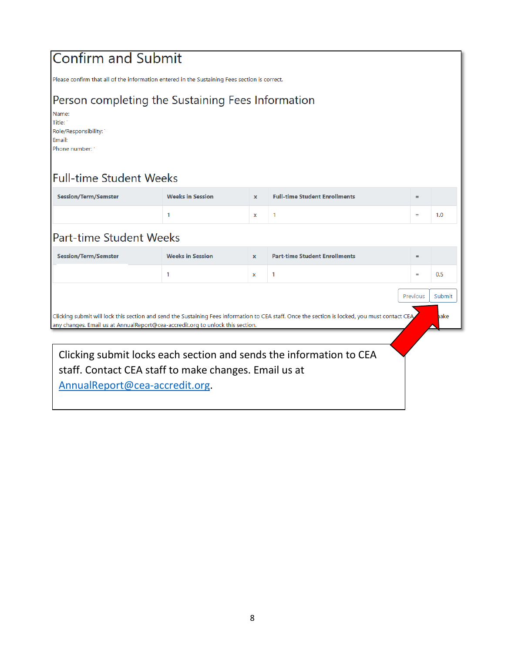# **Confirm and Submit**

Please confirm that all of the information entered in the Sustaining Fees section is correct.

### Person completing the Sustaining Fees Information

Name: Title: Role/Responsibility: Email: Phone number:

# Full-time Student Weeks

| <b>Session/Term/Semster</b>                                                                                                                                                                                                              | <b>Weeks in Session</b>                               | $\mathbf{x}$ | <b>Full-time Student Enrollments</b> | $=$      |        |
|------------------------------------------------------------------------------------------------------------------------------------------------------------------------------------------------------------------------------------------|-------------------------------------------------------|--------------|--------------------------------------|----------|--------|
|                                                                                                                                                                                                                                          |                                                       | $\mathbf x$  |                                      | $=$      | 1.0    |
| <b>Part-time Student Weeks</b>                                                                                                                                                                                                           |                                                       |              |                                      |          |        |
| <b>Session/Term/Semster</b>                                                                                                                                                                                                              | <b>Weeks in Session</b>                               | $\mathbf{x}$ | <b>Part-time Student Enrollments</b> | $=$      |        |
|                                                                                                                                                                                                                                          |                                                       | x            | 1                                    | $=$      | 0.5    |
|                                                                                                                                                                                                                                          |                                                       |              |                                      | Previous | Submit |
| Clicking submit will lock this section and send the Sustaining Fees information to CEA staff. Once the section is locked, you must contact CEA<br>iake<br>any changes. Email us at AnnualReport@cea-accredit.org to unlock this section. |                                                       |              |                                      |          |        |
|                                                                                                                                                                                                                                          |                                                       |              |                                      |          |        |
| Clicking submit locks each section and sends the information to CEA                                                                                                                                                                      |                                                       |              |                                      |          |        |
|                                                                                                                                                                                                                                          | staff. Contact CEA staff to make changes. Email us at |              |                                      |          |        |

[AnnualReport@cea-accredit.org.](mailto:AnnualReport@cea-accredit.org)